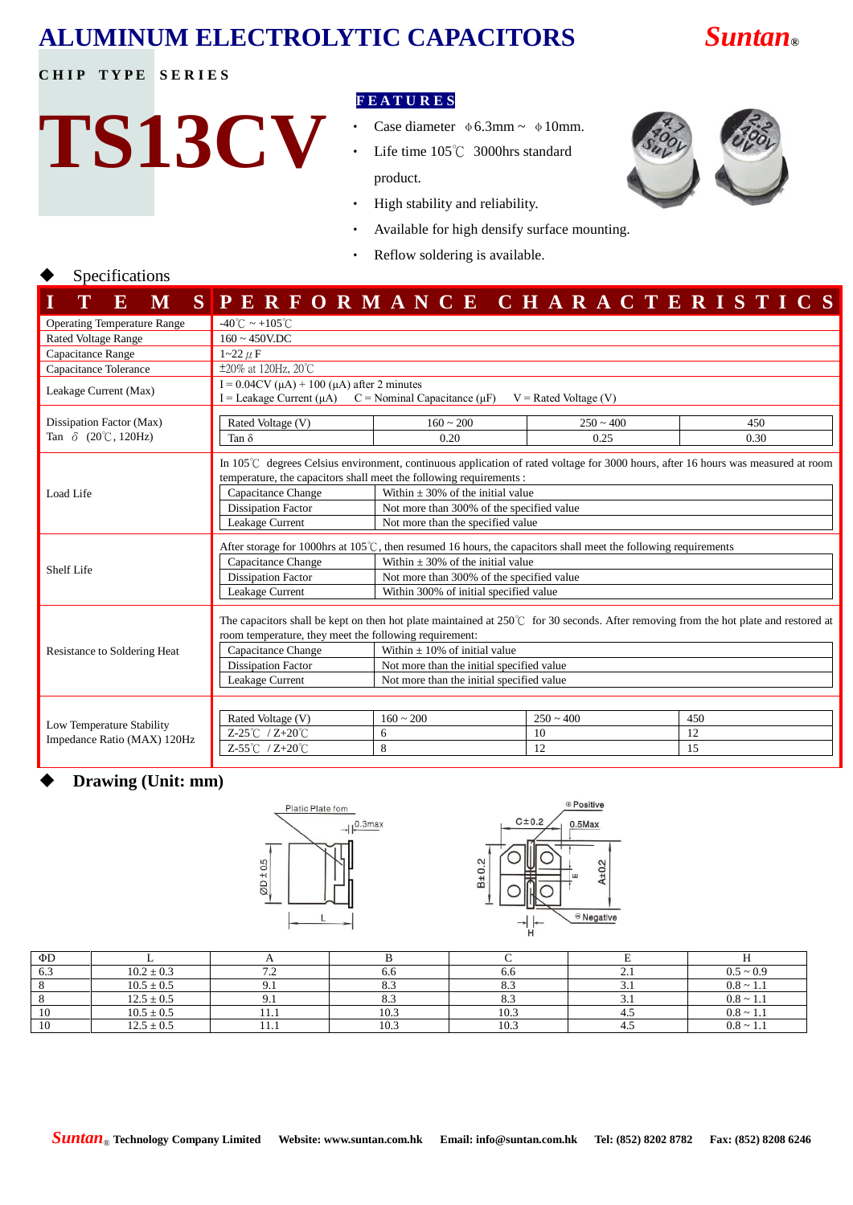## **ALUMINUM ELECTROLYTIC CAPACITORS** *Suntan***®**

## **CHIP TYPE SERIES**

# **TS13CV**

## **F E A T U R E S**

- Case diameter  $\phi$  6.3mm ~  $\phi$  10mm.
- Life time 105℃ 3000hrs standard product.
- ‧ High stability and reliability.
- Available for high densify surface mounting.
- ‧ Reflow soldering is available.

## Specifications

| E<br>M                                                   |                                                                                                                                                                                                                                                                                                                                                                                                                     |                                                                                                                                                                                                                                                                              |                         | SPERFORMANCE CHARACTERISTICS |  |  |  |  |  |
|----------------------------------------------------------|---------------------------------------------------------------------------------------------------------------------------------------------------------------------------------------------------------------------------------------------------------------------------------------------------------------------------------------------------------------------------------------------------------------------|------------------------------------------------------------------------------------------------------------------------------------------------------------------------------------------------------------------------------------------------------------------------------|-------------------------|------------------------------|--|--|--|--|--|
| <b>Operating Temperature Range</b>                       | $-40^{\circ}$ C ~ +105 $^{\circ}$ C                                                                                                                                                                                                                                                                                                                                                                                 |                                                                                                                                                                                                                                                                              |                         |                              |  |  |  |  |  |
| <b>Rated Voltage Range</b>                               | $160 \sim 450$ V.DC                                                                                                                                                                                                                                                                                                                                                                                                 |                                                                                                                                                                                                                                                                              |                         |                              |  |  |  |  |  |
| Capacitance Range                                        | $1 - 22 \mu F$                                                                                                                                                                                                                                                                                                                                                                                                      |                                                                                                                                                                                                                                                                              |                         |                              |  |  |  |  |  |
| Capacitance Tolerance                                    | $\pm 20\%$ at 120Hz, 20°C                                                                                                                                                                                                                                                                                                                                                                                           |                                                                                                                                                                                                                                                                              |                         |                              |  |  |  |  |  |
| Leakage Current (Max)                                    | I = $0.04CV(\mu A) + 100(\mu A)$ after 2 minutes<br>I = Leakage Current ( $\mu$ A) C = Nominal Capacitance ( $\mu$ F)<br>$V =$ Rated Voltage (V)                                                                                                                                                                                                                                                                    |                                                                                                                                                                                                                                                                              |                         |                              |  |  |  |  |  |
| Dissipation Factor (Max)                                 | Rated Voltage (V)                                                                                                                                                                                                                                                                                                                                                                                                   | $160 - 200$                                                                                                                                                                                                                                                                  | $250 - 400$             | 450                          |  |  |  |  |  |
| Tan $\delta$ (20°C, 120Hz)                               | Tan $\delta$                                                                                                                                                                                                                                                                                                                                                                                                        | 0.20                                                                                                                                                                                                                                                                         | 0.25                    | 0.30                         |  |  |  |  |  |
| Load Life                                                | In 105 $\degree$ C degrees Celsius environment, continuous application of rated voltage for 3000 hours, after 16 hours was measured at room<br>temperature, the capacitors shall meet the following requirements:<br>Within $\pm 30\%$ of the initial value<br>Capacitance Change<br><b>Dissipation Factor</b><br>Not more than 300% of the specified value<br>Leakage Current<br>Not more than the specified value |                                                                                                                                                                                                                                                                              |                         |                              |  |  |  |  |  |
| Shelf Life                                               | After storage for 1000hrs at $105^{\circ}$ C, then resumed 16 hours, the capacitors shall meet the following requirements<br>Capacitance Change<br>Within $\pm 30\%$ of the initial value<br><b>Dissipation Factor</b><br>Not more than 300% of the specified value<br>Leakage Current<br>Within 300% of initial specified value                                                                                    |                                                                                                                                                                                                                                                                              |                         |                              |  |  |  |  |  |
| Resistance to Soldering Heat                             | room temperature, they meet the following requirement:<br>Capacitance Change<br><b>Dissipation Factor</b><br>Leakage Current                                                                                                                                                                                                                                                                                        | The capacitors shall be kept on then hot plate maintained at $250^{\circ}$ for 30 seconds. After removing from the hot plate and restored at<br>Within $\pm 10\%$ of initial value<br>Not more than the initial specified value<br>Not more than the initial specified value |                         |                              |  |  |  |  |  |
| Low Temperature Stability<br>Impedance Ratio (MAX) 120Hz | Rated Voltage (V)<br>$Z-25^{\circ}$ $Z+20^{\circ}$ $C$<br>Z-55℃ / Z+20℃                                                                                                                                                                                                                                                                                                                                             | $160 \sim 200$<br>6<br>8                                                                                                                                                                                                                                                     | $250 - 400$<br>10<br>12 | 450<br>12<br>15              |  |  |  |  |  |

## **Drawing (Unit: mm)**



| ΦD  |                |             |                |      |          |                |
|-----|----------------|-------------|----------------|------|----------|----------------|
| 6.3 | $10.2 \pm 0.3$ | .           | 0.0            | 0.0  | <u>.</u> | $0.5 \sim 0.9$ |
|     | $10.5 \pm 0.5$ |             | $\mathbf{O}$ . |      | .        | $0.8 \sim 1.1$ |
|     | $12.5 \pm 0.5$ |             | د.ه            | റ    |          | $0.8 \sim 1.1$ |
| 10  | $10.5 \pm 0.5$ | .           | 10.3           | 10.3 |          | $0.8 \sim 1.1$ |
| 10  | $12.5 \pm 0.5$ | <b>TT.T</b> | 10.3           | 10.3 | т. ј     | $0.8 \sim 1.1$ |